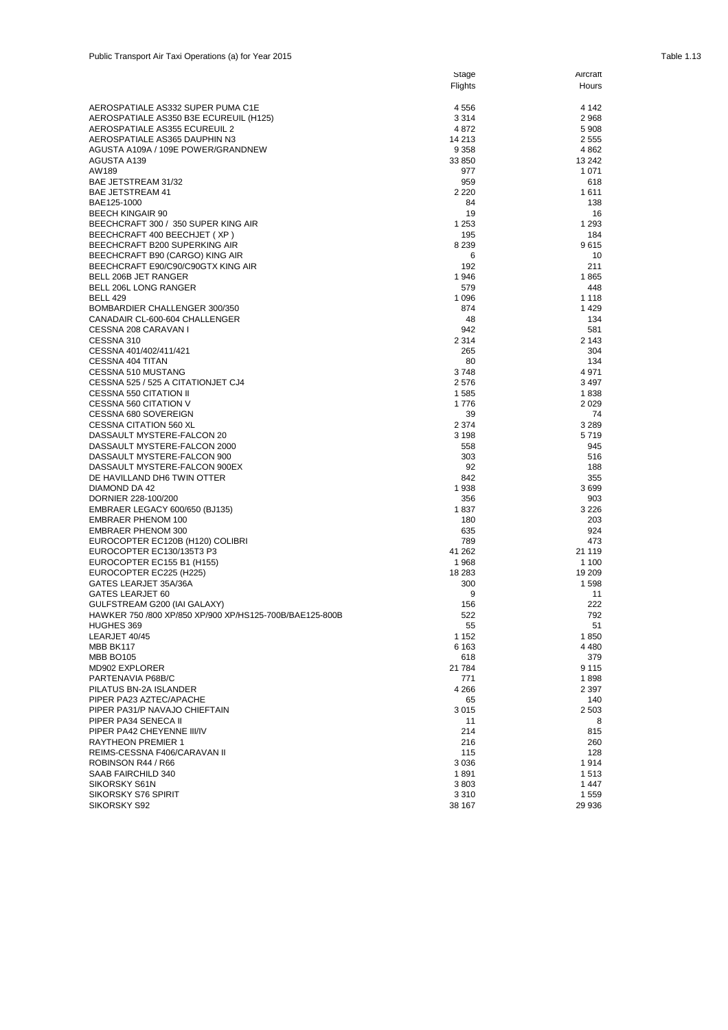|                                                          | Flights      | Hours        |
|----------------------------------------------------------|--------------|--------------|
| AEROSPATIALE AS332 SUPER PUMA C1E                        | 4556         | 4 142        |
| AEROSPATIALE AS350 B3E ECUREUIL (H125)                   | 3314         | 2968         |
| AEROSPATIALE AS355 ECUREUIL 2                            | 4872         | 5908         |
| AEROSPATIALE AS365 DAUPHIN N3                            | 14 213       | 2 5 5 5      |
| AGUSTA A109A / 109E POWER/GRANDNEW                       | 9 3 5 8      | 4862         |
| AGUSTA A139                                              | 33 850       | 13 24 2      |
| AW189                                                    | 977          | 1 0 7 1      |
| BAE JETSTREAM 31/32                                      | 959          | 618          |
| BAE JETSTREAM 41                                         | 2 2 2 0      | 1611         |
| BAE125-1000                                              | 84           | 138          |
| <b>BEECH KINGAIR 90</b>                                  | 19           | 16           |
| BEECHCRAFT 300 / 350 SUPER KING AIR                      | 1 2 5 3      | 1 2 9 3      |
| BEECHCRAFT 400 BEECHJET ( XP )                           | 195          | 184          |
| BEECHCRAFT B200 SUPERKING AIR                            | 8 2 3 9      | 9615         |
| BEECHCRAFT B90 (CARGO) KING AIR                          | 6            | 10           |
| BEECHCRAFT E90/C90/C90GTX KING AIR                       | 192          | 211          |
| BELL 206B JET RANGER                                     | 1946         | 1865         |
| BELL 206L LONG RANGER                                    | 579          | 448          |
| BELL 429                                                 | 1 0 9 6      | 1 1 1 8      |
| BOMBARDIER CHALLENGER 300/350                            | 874          | 1429         |
| CANADAIR CL-600-604 CHALLENGER                           | 48           | 134          |
| CESSNA 208 CARAVAN I                                     | 942          | 581          |
| CESSNA 310                                               | 2 3 1 4      | 2 1 4 3      |
| CESSNA 401/402/411/421                                   | 265          | 304          |
| CESSNA 404 TITAN                                         | 80           | 134<br>4971  |
| CESSNA 510 MUSTANG<br>CESSNA 525 / 525 A CITATIONJET CJ4 | 3748         |              |
| CESSNA 550 CITATION II                                   | 2576<br>1585 | 3497<br>1838 |
| CESSNA 560 CITATION V                                    | 1776         | 2029         |
| CESSNA 680 SOVEREIGN                                     | 39           | 74           |
| CESSNA CITATION 560 XL                                   | 2 3 7 4      | 3 2 8 9      |
| DASSAULT MYSTERE-FALCON 20                               | 3 1 9 8      | 5719         |
| DASSAULT MYSTERE-FALCON 2000                             | 558          | 945          |
| DASSAULT MYSTERE-FALCON 900                              | 303          | 516          |
| DASSAULT MYSTERE-FALCON 900EX                            | 92           | 188          |
| DE HAVILLAND DH6 TWIN OTTER                              | 842          | 355          |
| DIAMOND DA 42                                            | 1938         | 3699         |
| DORNIER 228-100/200                                      | 356          | 903          |
| EMBRAER LEGACY 600/650 (BJ135)                           | 1837         | 3 2 2 6      |
| EMBRAER PHENOM 100                                       | 180          | 203          |
| EMBRAER PHENOM 300                                       | 635          | 924          |
| EUROCOPTER EC120B (H120) COLIBRI                         | 789          | 473          |
| EUROCOPTER EC130/135T3 P3                                | 41 262       | 21 119       |
| EUROCOPTER EC155 B1 (H155)                               | 1968         | 1 100        |
| EUROCOPTER EC225 (H225)                                  | 18 283       | 19 209       |
| GATES LEARJET 35A/36A                                    | 300          | 1598         |
| GATES LEARJET 60                                         | 9            | 11           |
| GULFSTREAM G200 (IAI GALAXY)                             | 156          | 222          |
| HAWKER 750 /800 XP/850 XP/900 XP/HS125-700B/BAE125-800B  | 522          | 792          |
| HUGHES 369                                               | 55           | 51           |
| LEARJET 40/45                                            | 1 1 5 2      | 1850         |
| MBB BK117                                                | 6 1 6 3      | 4 4 8 0      |
| MBB BO105                                                | 618          | 379          |
| MD902 EXPLORER                                           | 21 784       | 9 1 1 5      |
| PARTENAVIA P68B/C                                        | 771          | 1898         |
| PILATUS BN-2A ISLANDER                                   | 4 2 6 6      | 2 3 9 7      |
| PIPER PA23 AZTEC/APACHE                                  | 65           | 140          |
| PIPER PA31/P NAVAJO CHIEFTAIN                            | 3015         | 2 5 0 3      |
| PIPER PA34 SENECA II                                     | 11           | 8            |
| PIPER PA42 CHEYENNE III/IV                               | 214          | 815          |
| RAYTHEON PREMIER 1                                       | 216          | 260          |
| REIMS-CESSNA F406/CARAVAN II                             | 115          | 128          |
| ROBINSON R44 / R66                                       | 3036         | 1914         |
| SAAB FAIRCHILD 340                                       | 1891         | 1513         |
| SIKORSKY S61N                                            | 3803         | 1447         |
| SIKORSKY S76 SPIRIT                                      | 3310         | 1559         |
| SIKORSKY S92                                             | 38 167       | 29 936       |

Stage

Aircraft